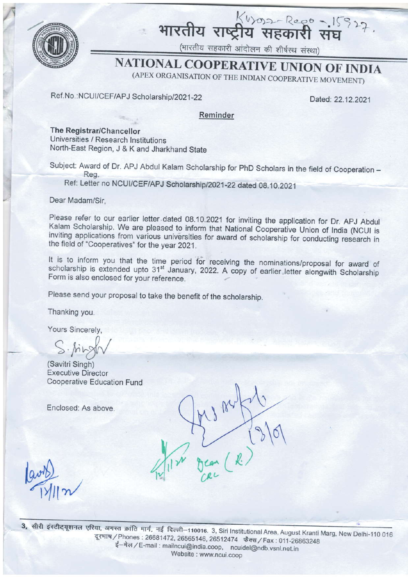

भारतीय राष्ट्रीय सहकारी संघ

(भारतीय सहकारी आंदोलन की शीर्षस्थ संस्था)

# **NATIONAL COOPERATIVE UNION OF INDIA**

(APEX ORGANISATION OF THE INDIAN COOPERATIVE MOVEMENT)

### Ref.No.:NCUI/CEF/APJ Scholarship/2021-22

Dated: 22.12.2021

#### Reminder

The Registrar/Chancellor Universities / Research Institutions North-East Region, J & K and Jharkhand State

Subject: Award of Dr. APJ Abdul Kalam Scholarship for PhD Scholars in the field of Cooperation -Reg.

Ref: Letter no NCUI/CEF/APJ Scholarship/2021-22 dated 08.10.2021

Dear Madam/Sir.

Please refer to our earlier letter dated 08.10.2021 for inviting the application for Dr. APJ Abdul Kalam Scholarship. We are pleased to inform that National Cooperative Union of India (NCUI is inviting applications from various universities for award of scholarship for conducting research in the field of "Cooperatives" for the year 2021.

It is to inform you that the time period for receiving the nominations/proposal for award of scholarship is extended upto 31<sup>st</sup> January, 2022. A copy of earlier letter alongwith Scholarship Form is also enclosed for your reference.

Please send your proposal to take the benefit of the scholarship.

Thanking you.

Yours Sincerely,

(Savitri Singh) **Executive Director Cooperative Education Fund** 

Enclosed: As above.

3. सीरी इंस्टीट्यूशनल एरिया, अगस्त क्रांति मार्ग, नई दिल्ली-110016. 3, Siri Institutional Area, August Kranti Marg, New Delhi-110 016 दूरभाष / Phones: 26681472, 26565146, 26512474 फैक्स / Fax: 011-26863248 ई-मेल / E-mail : mailncui@india.coop, ncuidel@ndb.vsnl.net.in Website: www.ncui.coop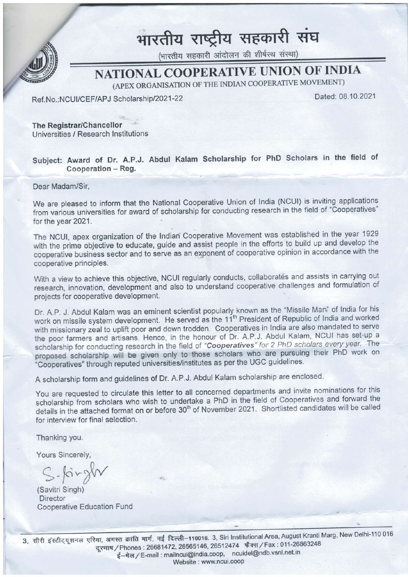

# भारतीय राष्ट्रीय सहकारी संघ<br>(मारतीय सहकारी आंदोलन की शीर्षस्थ संस्था)

## NATIONAL COOPERATIVE UNION OF INDIA

(APEX ORGANISATION OF THE INDIAN COOPERATIVE MOVEMENT)

Ref.No.:NCUI/CEF/APJ Scholarship/2021-22

Dated: 08.10.2021

The Registrar/Chancellor Universilies / Research Institutions

### Subject: Award of Dr. A.P.J. Abdul Kalam Scholarship for PhD Scholars in the field of Cooperation - Reg.

Dear Madam/Sir,

We are pleased to inform that the National Cooperative Union of lndia (NCUI) is inviting applications from various universities for award of scholarship for conducting research in the field of "Cooperatives" for the year 2021.

The NCUI, apex organization of the lndian Cooperative Movement was established in the year <sup>1929</sup> with the prime objective to educate, guide and assist people in the efforts to build up and develop the cooperative business sector and to serve as an exponent of cooperative opinion in accordance with the cooperative principles.

With a view to achieve this objective, NCUI regularly conducts, collaborates and assists in carrying out research, innovation, development and also to understand cooperative challenges and formulation of projects for cooperative development.

Dr. A.P. J. Abdul Kalam was an eminent scientist popularly known as the "Missile Man" of India for his work on missile system development. He served as the 11<sup>th</sup> President of Republic of India and worked with missionary zeal to uplift poor and down trodden. Cooperatives in India are also mandated to serve the poor farmers and artisans. Hence, in the honour of Dr. A.P.J. Abdul Kalam, NCUI has set-up a scholarship for conducting research in the field of "Cooperatives" for 2 PhD scholars every year. The proposed scholarship will be given only to those scholars who are pursuing their PhD work on "Cooperatives" through reputed universities/institutes as per the UGC guidelines.

A scholarship form and guidelines of Dr. A.P.J. Abdul Kalam scholarship are enclosed'

You are requested to circulate this letter to all concerned departments and invite nominations for this scholarship from scholars who wish to undertake a PhD in the field of Cooperatives and forward the details in the attached format on or before 30<sup>th</sup> of November 2021. Shortlisted candidates will be called for interview for final selection.

Thanking you.

Yours Sincerely,

 $S$ - $\beta$ irgh

(Savitri Singh) **Director** Cooperative Education Fund

a, सीरी इंस्टीट्यूशनल एरिया, अगस्त क्रांति मार्ग, नई दिल्ली–110016. 3, Siri Institutional Area, August Kranlimary<br>दूरभाष / Phones : 26681472, 26565146, 26512474 'फैक्स / Fax : 011-26863248<br>Geogli mailpovi@india.coop....p ई-मेल / E-mail : mailncui@india.coop, ncuidel@ndb.vsnl.net.in Website : www.ncui.coop